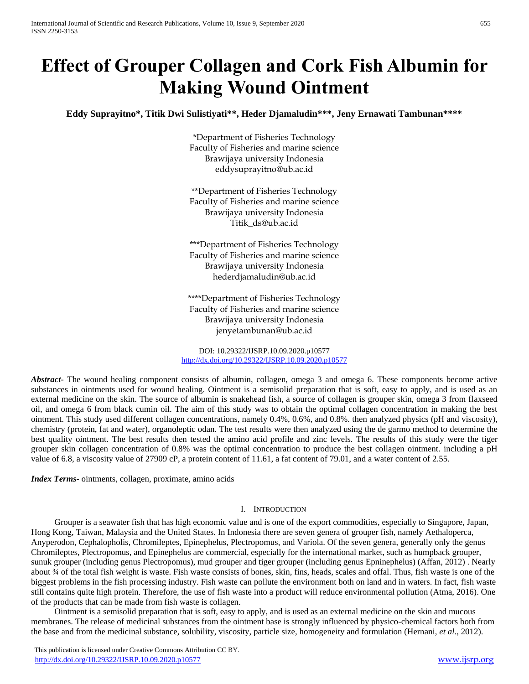# **Effect of Grouper Collagen and Cork Fish Albumin for Making Wound Ointment**

**Eddy Suprayitno\*, Titik Dwi Sulistiyati\*\*, Heder Djamaludin\*\*\*, Jeny Ernawati Tambunan\*\*\*\***

\*Department of Fisheries Technology Faculty of Fisheries and marine science Brawijaya university Indonesia eddysuprayitno@ub.ac.id

\*\*Department of Fisheries Technology Faculty of Fisheries and marine science Brawijaya university Indonesia Titik\_ds@ub.ac.id

\*\*\*Department of Fisheries Technology Faculty of Fisheries and marine science Brawijaya university Indonesia hederdjamaludin@ub.ac.id

\*\*\*\*Department of Fisheries Technology Faculty of Fisheries and marine science Brawijaya university Indonesia jenyetambunan@ub.ac.id

DOI: 10.29322/IJSRP.10.09.2020.p10577 <http://dx.doi.org/10.29322/IJSRP.10.09.2020.p10577>

*Abstract***-** The wound healing component consists of albumin, collagen, omega 3 and omega 6. These components become active substances in ointments used for wound healing. Ointment is a semisolid preparation that is soft, easy to apply, and is used as an external medicine on the skin. The source of albumin is snakehead fish, a source of collagen is grouper skin, omega 3 from flaxseed oil, and omega 6 from black cumin oil. The aim of this study was to obtain the optimal collagen concentration in making the best ointment. This study used different collagen concentrations, namely 0.4%, 0.6%, and 0.8%. then analyzed physics (pH and viscosity), chemistry (protein, fat and water), organoleptic odan. The test results were then analyzed using the de garmo method to determine the best quality ointment. The best results then tested the amino acid profile and zinc levels. The results of this study were the tiger grouper skin collagen concentration of 0.8% was the optimal concentration to produce the best collagen ointment. including a pH value of 6.8, a viscosity value of 27909 cP, a protein content of 11.61, a fat content of 79.01, and a water content of 2.55.

*Index Terms*- ointments, collagen, proximate, amino acids

# I. INTRODUCTION

Grouper is a seawater fish that has high economic value and is one of the export commodities, especially to Singapore, Japan, Hong Kong, Taiwan, Malaysia and the United States. In Indonesia there are seven genera of grouper fish, namely Aethaloperca, Anyperodon, Cephalopholis, Chromileptes, Epinephelus, Plectropomus, and Variola. Of the seven genera, generally only the genus Chromileptes, Plectropomus, and Epinephelus are commercial, especially for the international market, such as humpback grouper, sunuk grouper (including genus Plectropomus), mud grouper and tiger grouper (including genus Epninephelus) (Affan, 2012) . Nearly about ¾ of the total fish weight is waste. Fish waste consists of bones, skin, fins, heads, scales and offal. Thus, fish waste is one of the biggest problems in the fish processing industry. Fish waste can pollute the environment both on land and in waters. In fact, fish waste still contains quite high protein. Therefore, the use of fish waste into a product will reduce environmental pollution (Atma, 2016). One of the products that can be made from fish waste is collagen.

Ointment is a semisolid preparation that is soft, easy to apply, and is used as an external medicine on the skin and mucous membranes. The release of medicinal substances from the ointment base is strongly influenced by physico-chemical factors both from the base and from the medicinal substance, solubility, viscosity, particle size, homogeneity and formulation (Hernani, *et al*., 2012).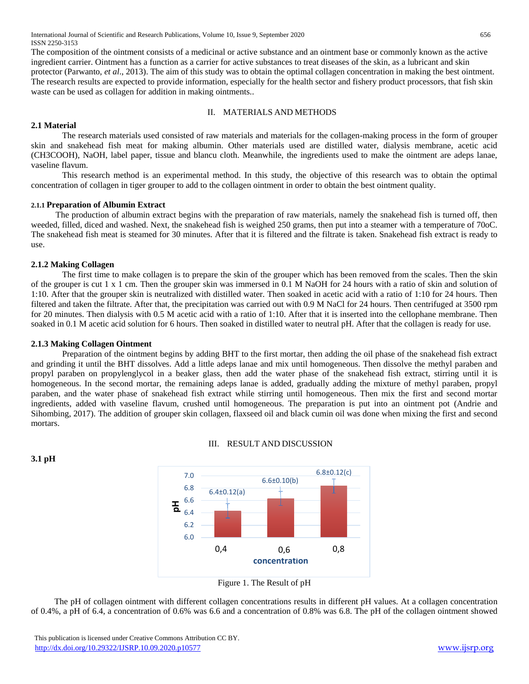The composition of the ointment consists of a medicinal or active substance and an ointment base or commonly known as the active ingredient carrier. Ointment has a function as a carrier for active substances to treat diseases of the skin, as a lubricant and skin protector (Parwanto, *et al*., 2013). The aim of this study was to obtain the optimal collagen concentration in making the best ointment. The research results are expected to provide information, especially for the health sector and fishery product processors, that fish skin waste can be used as collagen for addition in making ointments..

# II. MATERIALS AND METHODS

# **2.1 Material**

The research materials used consisted of raw materials and materials for the collagen-making process in the form of grouper skin and snakehead fish meat for making albumin. Other materials used are distilled water, dialysis membrane, acetic acid (CH3COOH), NaOH, label paper, tissue and blancu cloth. Meanwhile, the ingredients used to make the ointment are adeps lanae, vaseline flavum.

This research method is an experimental method. In this study, the objective of this research was to obtain the optimal concentration of collagen in tiger grouper to add to the collagen ointment in order to obtain the best ointment quality.

### **2.1.1 Preparation of Albumin Extract**

The production of albumin extract begins with the preparation of raw materials, namely the snakehead fish is turned off, then weeded, filled, diced and washed. Next, the snakehead fish is weighed 250 grams, then put into a steamer with a temperature of 70oC. The snakehead fish meat is steamed for 30 minutes. After that it is filtered and the filtrate is taken. Snakehead fish extract is ready to use.

# **2.1.2 Making Collagen**

The first time to make collagen is to prepare the skin of the grouper which has been removed from the scales. Then the skin of the grouper is cut 1 x 1 cm. Then the grouper skin was immersed in 0.1 M NaOH for 24 hours with a ratio of skin and solution of 1:10. After that the grouper skin is neutralized with distilled water. Then soaked in acetic acid with a ratio of 1:10 for 24 hours. Then filtered and taken the filtrate. After that, the precipitation was carried out with 0.9 M NaCl for 24 hours. Then centrifuged at 3500 rpm for 20 minutes. Then dialysis with 0.5 M acetic acid with a ratio of 1:10. After that it is inserted into the cellophane membrane. Then soaked in 0.1 M acetic acid solution for 6 hours. Then soaked in distilled water to neutral pH. After that the collagen is ready for use.

### **2.1.3 Making Collagen Ointment**

Preparation of the ointment begins by adding BHT to the first mortar, then adding the oil phase of the snakehead fish extract and grinding it until the BHT dissolves. Add a little adeps lanae and mix until homogeneous. Then dissolve the methyl paraben and propyl paraben on propylenglycol in a beaker glass, then add the water phase of the snakehead fish extract, stirring until it is homogeneous. In the second mortar, the remaining adeps lanae is added, gradually adding the mixture of methyl paraben, propyl paraben, and the water phase of snakehead fish extract while stirring until homogeneous. Then mix the first and second mortar ingredients, added with vaseline flavum, crushed until homogeneous. The preparation is put into an ointment pot (Andrie and Sihombing, 2017). The addition of grouper skin collagen, flaxseed oil and black cumin oil was done when mixing the first and second mortars.

### III. RESULT AND DISCUSSION



Figure 1. The Result of pH

The pH of collagen ointment with different collagen concentrations results in different pH values. At a collagen concentration of 0.4%, a pH of 6.4, a concentration of 0.6% was 6.6 and a concentration of 0.8% was 6.8. The pH of the collagen ointment showed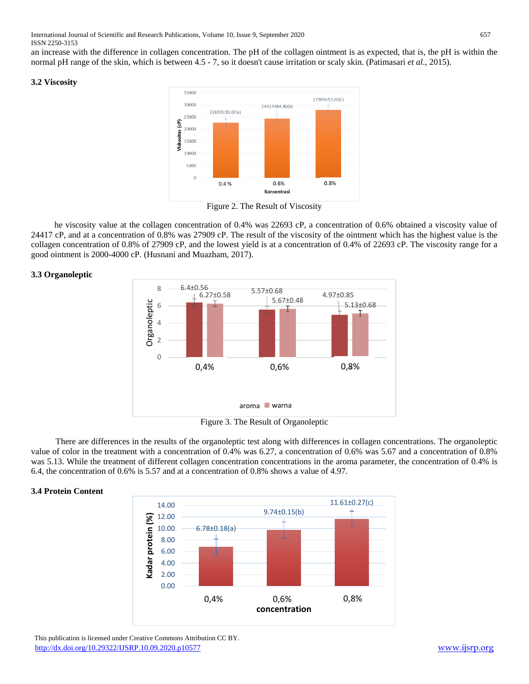an increase with the difference in collagen concentration. The pH of the collagen ointment is as expected, that is, the pH is within the normal pH range of the skin, which is between 4.5 - 7, so it doesn't cause irritation or scaly skin. (Patimasari *et al*., 2015).

#### **3.2 Viscosity**



Figure 2. The Result of Viscosity

he viscosity value at the collagen concentration of 0.4% was 22693 cP, a concentration of 0.6% obtained a viscosity value of 24417 cP, and at a concentration of 0.8% was 27909 cP. The result of the viscosity of the ointment which has the highest value is the collagen concentration of 0.8% of 27909 cP, and the lowest yield is at a concentration of 0.4% of 22693 cP. The viscosity range for a good ointment is 2000-4000 cP. (Husnani and Muazham, 2017).

### **3.3 Organoleptic**



Figure 3. The Result of Organoleptic

There are differences in the results of the organoleptic test along with differences in collagen concentrations. The organoleptic value of color in the treatment with a concentration of 0.4% was 6.27, a concentration of 0.6% was 5.67 and a concentration of 0.8% was 5.13. While the treatment of different collagen concentration concentrations in the aroma parameter, the concentration of 0.4% is 6.4, the concentration of 0.6% is 5.57 and at a concentration of 0.8% shows a value of 4.97.

### **3.4 Protein Content**



 This publication is licensed under Creative Commons Attribution CC BY. <http://dx.doi.org/10.29322/IJSRP.10.09.2020.p10577> [www.ijsrp.org](http://ijsrp.org/)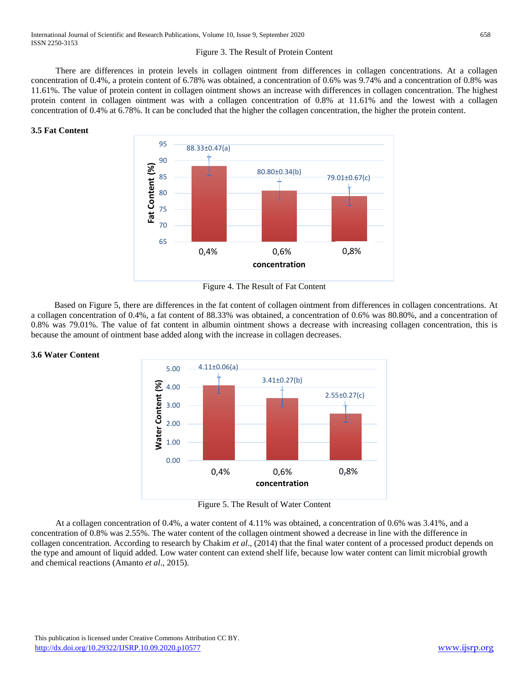#### Figure 3. The Result of Protein Content

There are differences in protein levels in collagen ointment from differences in collagen concentrations. At a collagen concentration of 0.4%, a protein content of 6.78% was obtained, a concentration of 0.6% was 9.74% and a concentration of 0.8% was 11.61%. The value of protein content in collagen ointment shows an increase with differences in collagen concentration. The highest protein content in collagen ointment was with a collagen concentration of 0.8% at 11.61% and the lowest with a collagen concentration of 0.4% at 6.78%. It can be concluded that the higher the collagen concentration, the higher the protein content.

### **3.5 Fat Content**



Figure 4. The Result of Fat Content

Based on Figure 5, there are differences in the fat content of collagen ointment from differences in collagen concentrations. At a collagen concentration of 0.4%, a fat content of 88.33% was obtained, a concentration of 0.6% was 80.80%, and a concentration of 0.8% was 79.01%. The value of fat content in albumin ointment shows a decrease with increasing collagen concentration, this is because the amount of ointment base added along with the increase in collagen decreases.





Figure 5. The Result of Water Content

At a collagen concentration of 0.4%, a water content of 4.11% was obtained, a concentration of 0.6% was 3.41%, and a concentration of 0.8% was 2.55%. The water content of the collagen ointment showed a decrease in line with the difference in collagen concentration. According to research by Chakim *et al*., (2014) that the final water content of a processed product depends on the type and amount of liquid added. Low water content can extend shelf life, because low water content can limit microbial growth and chemical reactions (Amanto *et al*., 2015).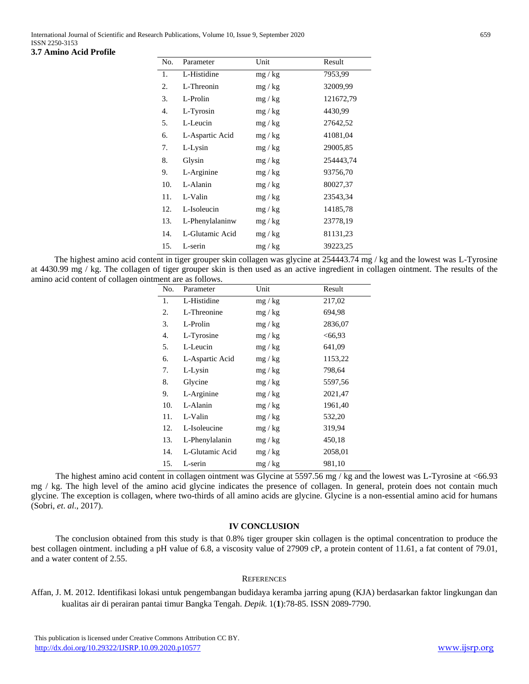#### **3.7 Amino Acid Profile**

| No. | Parameter       | Unit    | Result    |
|-----|-----------------|---------|-----------|
| 1.  | L-Histidine     | mg / kg | 7953,99   |
| 2.  | L-Threonin      | mg / kg | 32009,99  |
| 3.  | L-Prolin        | mg / kg | 121672,79 |
| 4.  | L-Tyrosin       | mg / kg | 4430,99   |
| 5.  | L-Leucin        | mg / kg | 27642,52  |
| 6.  | L-Aspartic Acid | mg / kg | 41081,04  |
| 7.  | L-Lysin         | mg / kg | 29005,85  |
| 8.  | Glysin          | mg / kg | 254443,74 |
| 9.  | L-Arginine      | mg / kg | 93756,70  |
| 10. | L-Alanin        | mg / kg | 80027,37  |
| 11. | L-Valin         | mg / kg | 23543,34  |
| 12. | L-Isoleucin     | mg / kg | 14185,78  |
| 13. | L-Phenylalaninw | mg / kg | 23778,19  |
| 14. | L-Glutamic Acid | mg / kg | 81131,23  |
| 15. | L-serin         | mg / kg | 39223,25  |

The highest amino acid content in tiger grouper skin collagen was glycine at 254443.74 mg / kg and the lowest was L-Tyrosine at 4430.99 mg / kg. The collagen of tiger grouper skin is then used as an active ingredient in collagen ointment. The results of the amino acid content of collagen ointment are as follows.

| No. | Parameter       | Unit    | Result   |
|-----|-----------------|---------|----------|
| 1.  | L-Histidine     | mg / kg | 217,02   |
| 2.  | L-Threonine     | mg / kg | 694,98   |
| 3.  | L-Prolin        | mg / kg | 2836,07  |
| 4.  | L-Tyrosine      | mg / kg | < 66, 93 |
| 5.  | L-Leucin        | mg / kg | 641,09   |
| 6.  | L-Aspartic Acid | mg / kg | 1153,22  |
| 7.  | L-Lysin         | mg / kg | 798,64   |
| 8.  | Glycine         | mg / kg | 5597,56  |
| 9.  | L-Arginine      | mg / kg | 2021,47  |
| 10. | L-Alanin        | mg / kg | 1961,40  |
| 11. | L-Valin         | mg / kg | 532,20   |
| 12. | L-Isoleucine    | mg / kg | 319,94   |
| 13. | L-Phenylalanin  | mg / kg | 450,18   |
| 14. | L-Glutamic Acid | mg / kg | 2058,01  |
| 15. | L-serin         | mg / kg | 981,10   |

The highest amino acid content in collagen ointment was Glycine at 5597.56 mg / kg and the lowest was L-Tyrosine at <66.93 mg / kg. The high level of the amino acid glycine indicates the presence of collagen. In general, protein does not contain much glycine. The exception is collagen, where two-thirds of all amino acids are glycine. Glycine is a non-essential amino acid for humans (Sobri, *et*. *al*., 2017).

### **IV CONCLUSION**

The conclusion obtained from this study is that 0.8% tiger grouper skin collagen is the optimal concentration to produce the best collagen ointment. including a pH value of 6.8, a viscosity value of 27909 cP, a protein content of 11.61, a fat content of 79.01, and a water content of 2.55.

### **REFERENCES**

Affan, J. M. 2012. Identifikasi lokasi untuk pengembangan budidaya keramba jarring apung (KJA) berdasarkan faktor lingkungan dan kualitas air di perairan pantai timur Bangka Tengah. *Depik*. 1(**1**):78-85. ISSN 2089-7790.